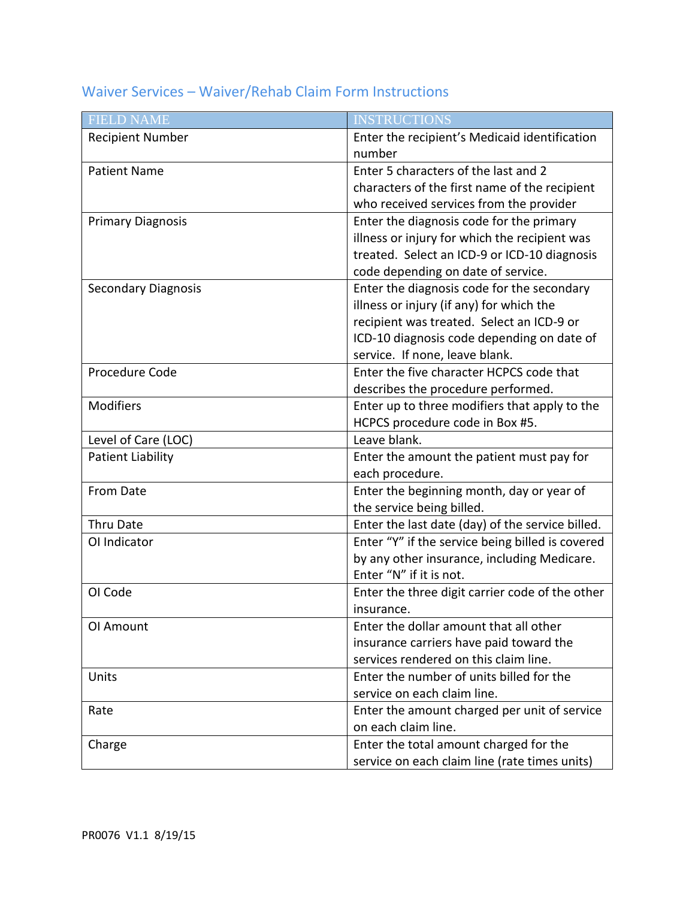## Waiver Services – Waiver/Rehab Claim Form Instructions

| <b>FIELD NAME</b>          | <b>INSTRUCTIONS</b>                              |
|----------------------------|--------------------------------------------------|
| <b>Recipient Number</b>    | Enter the recipient's Medicaid identification    |
|                            | number                                           |
| <b>Patient Name</b>        | Enter 5 characters of the last and 2             |
|                            | characters of the first name of the recipient    |
|                            | who received services from the provider          |
| <b>Primary Diagnosis</b>   | Enter the diagnosis code for the primary         |
|                            | illness or injury for which the recipient was    |
|                            | treated. Select an ICD-9 or ICD-10 diagnosis     |
|                            | code depending on date of service.               |
| <b>Secondary Diagnosis</b> | Enter the diagnosis code for the secondary       |
|                            | illness or injury (if any) for which the         |
|                            | recipient was treated. Select an ICD-9 or        |
|                            | ICD-10 diagnosis code depending on date of       |
|                            | service. If none, leave blank.                   |
| Procedure Code             | Enter the five character HCPCS code that         |
|                            | describes the procedure performed.               |
| Modifiers                  | Enter up to three modifiers that apply to the    |
|                            | HCPCS procedure code in Box #5.                  |
| Level of Care (LOC)        | Leave blank.                                     |
| <b>Patient Liability</b>   | Enter the amount the patient must pay for        |
|                            | each procedure.                                  |
| From Date                  | Enter the beginning month, day or year of        |
|                            | the service being billed.                        |
| Thru Date                  | Enter the last date (day) of the service billed. |
| OI Indicator               | Enter "Y" if the service being billed is covered |
|                            | by any other insurance, including Medicare.      |
|                            | Enter "N" if it is not.                          |
| OI Code                    | Enter the three digit carrier code of the other  |
|                            | insurance.                                       |
| OI Amount                  | Enter the dollar amount that all other           |
|                            | insurance carriers have paid toward the          |
|                            | services rendered on this claim line.            |
| Units                      | Enter the number of units billed for the         |
|                            | service on each claim line.                      |
| Rate                       | Enter the amount charged per unit of service     |
|                            | on each claim line.                              |
| Charge                     | Enter the total amount charged for the           |
|                            | service on each claim line (rate times units)    |